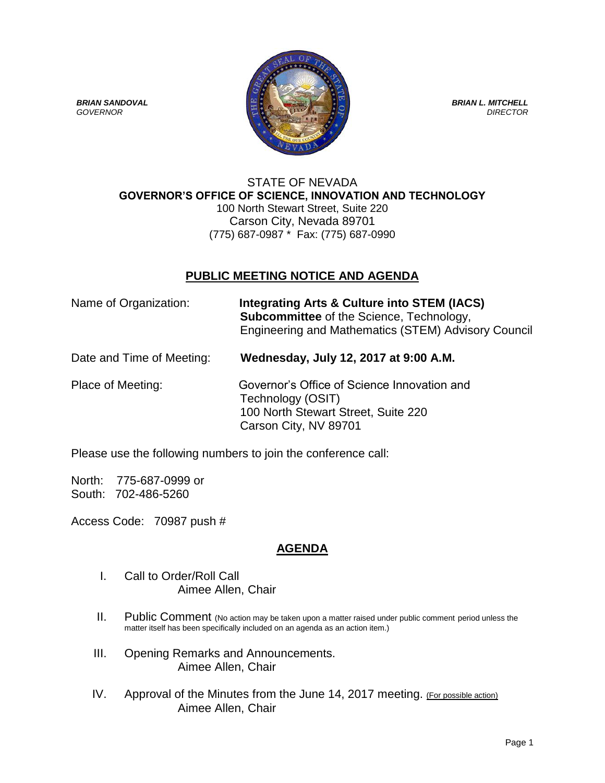

#### STATE OF NEVADA **GOVERNOR'S OFFICE OF SCIENCE, INNOVATION AND TECHNOLOGY** 100 North Stewart Street, Suite 220 Carson City, Nevada 89701 (775) 687-0987 \* Fax: (775) 687-0990

# **PUBLIC MEETING NOTICE AND AGENDA**

| Name of Organization:     | <b>Integrating Arts &amp; Culture into STEM (IACS)</b><br><b>Subcommittee</b> of the Science, Technology,<br>Engineering and Mathematics (STEM) Advisory Council |
|---------------------------|------------------------------------------------------------------------------------------------------------------------------------------------------------------|
| Date and Time of Meeting: | Wednesday, July 12, 2017 at 9:00 A.M.                                                                                                                            |
| Place of Meeting:         | Governor's Office of Science Innovation and<br>Technology (OSIT)                                                                                                 |

Technology (OSIT) 100 North Stewart Street, Suite 220 Carson City, NV 89701

Please use the following numbers to join the conference call:

North: 775-687-0999 or South: 702-486-5260

Access Code: 70987 push #

# **AGENDA**

- I. Call to Order/Roll Call Aimee Allen, Chair
- II. Public Comment (No action may be taken upon a matter raised under public comment period unless the matter itself has been specifically included on an agenda as an action item.)
- III. Opening Remarks and Announcements. Aimee Allen, Chair
- IV. Approval of the Minutes from the June 14, 2017 meeting. (For possible action) Aimee Allen, Chair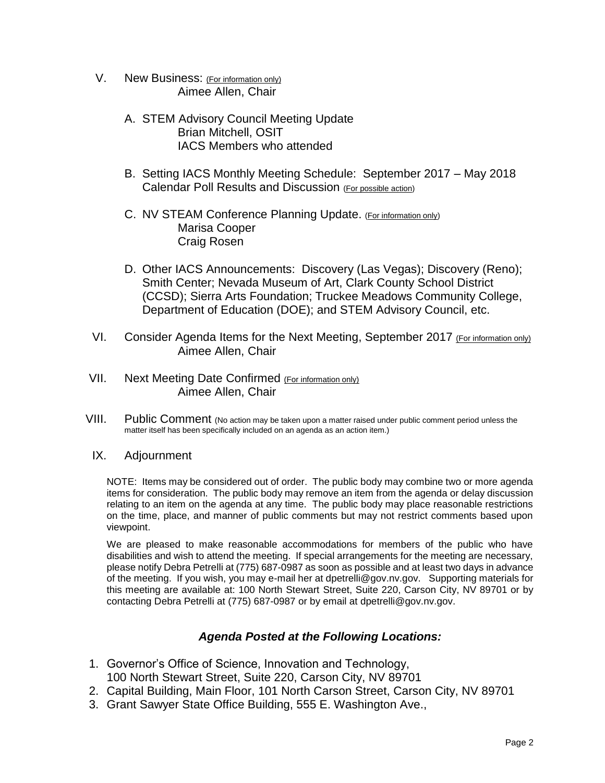- V. New Business: (For information only) Aimee Allen, Chair
	- A. STEM Advisory Council Meeting Update Brian Mitchell, OSIT IACS Members who attended
	- B. Setting IACS Monthly Meeting Schedule: September 2017 May 2018 Calendar Poll Results and Discussion (For possible action)
	- C. NV STEAM Conference Planning Update. (For information only) Marisa Cooper Craig Rosen
	- D. Other IACS Announcements: Discovery (Las Vegas); Discovery (Reno); Smith Center; Nevada Museum of Art, Clark County School District (CCSD); Sierra Arts Foundation; Truckee Meadows Community College, Department of Education (DOE); and STEM Advisory Council, etc.
- VI. Consider Agenda Items for the Next Meeting, September 2017 (For information only) Aimee Allen, Chair
- VII. Next Meeting Date Confirmed (For information only) Aimee Allen, Chair
- VIII. Public Comment (No action may be taken upon a matter raised under public comment period unless the matter itself has been specifically included on an agenda as an action item.)

#### IX. Adjournment

NOTE: Items may be considered out of order. The public body may combine two or more agenda items for consideration. The public body may remove an item from the agenda or delay discussion relating to an item on the agenda at any time. The public body may place reasonable restrictions on the time, place, and manner of public comments but may not restrict comments based upon viewpoint.

We are pleased to make reasonable accommodations for members of the public who have disabilities and wish to attend the meeting. If special arrangements for the meeting are necessary, please notify Debra Petrelli at (775) 687-0987 as soon as possible and at least two days in advance of the meeting. If you wish, you may e-mail her at dpetrelli@gov.nv.gov. Supporting materials for this meeting are available at: 100 North Stewart Street, Suite 220, Carson City, NV 89701 or by contacting Debra Petrelli at (775) 687-0987 or by email at dpetrelli@gov.nv.gov.

### *Agenda Posted at the Following Locations:*

- 1. Governor's Office of Science, Innovation and Technology, 100 North Stewart Street, Suite 220, Carson City, NV 89701
- 2. Capital Building, Main Floor, 101 North Carson Street, Carson City, NV 89701
- 3. Grant Sawyer State Office Building, 555 E. Washington Ave.,